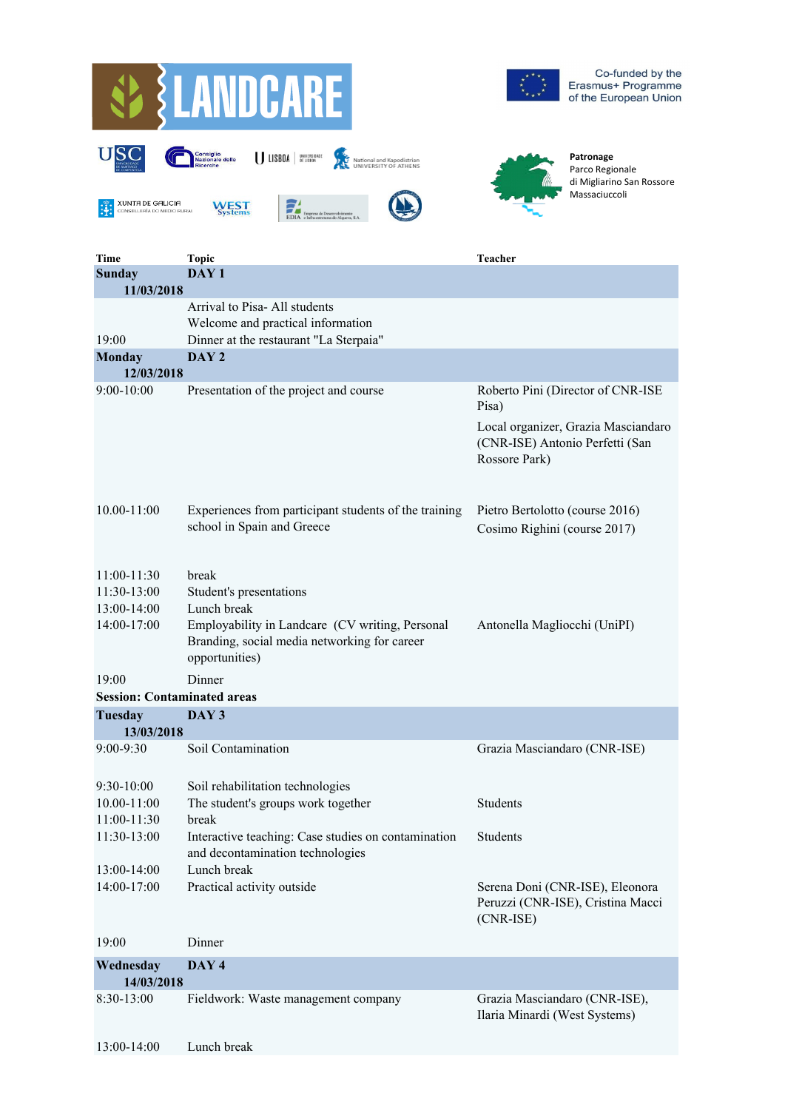

| <b>Time</b>                        | <b>Topic</b>                                                                                                      | Teacher                                                                                 |
|------------------------------------|-------------------------------------------------------------------------------------------------------------------|-----------------------------------------------------------------------------------------|
| <b>Sunday</b>                      | DAY <sub>1</sub>                                                                                                  |                                                                                         |
| 11/03/2018                         |                                                                                                                   |                                                                                         |
|                                    | Arrival to Pisa-All students                                                                                      |                                                                                         |
|                                    | Welcome and practical information                                                                                 |                                                                                         |
| 19:00                              | Dinner at the restaurant "La Sterpaia"                                                                            |                                                                                         |
| <b>Monday</b>                      | DAY <sub>2</sub>                                                                                                  |                                                                                         |
| 12/03/2018                         |                                                                                                                   |                                                                                         |
| $9:00-10:00$                       | Presentation of the project and course                                                                            | Roberto Pini (Director of CNR-ISE<br>Pisa)                                              |
|                                    |                                                                                                                   | Local organizer, Grazia Masciandaro<br>(CNR-ISE) Antonio Perfetti (San<br>Rossore Park) |
| $10.00 - 11:00$                    | Experiences from participant students of the training<br>school in Spain and Greece                               | Pietro Bertolotto (course 2016)<br>Cosimo Righini (course 2017)                         |
|                                    |                                                                                                                   |                                                                                         |
| $11:00-11:30$                      | break                                                                                                             |                                                                                         |
| 11:30-13:00                        | Student's presentations                                                                                           |                                                                                         |
| 13:00-14:00                        | Lunch break                                                                                                       |                                                                                         |
| 14:00-17:00                        | Employability in Landcare (CV writing, Personal<br>Branding, social media networking for career<br>opportunities) | Antonella Magliocchi (UniPI)                                                            |
| 19:00                              | Dinner                                                                                                            |                                                                                         |
| <b>Session: Contaminated areas</b> |                                                                                                                   |                                                                                         |
| <b>Tuesday</b>                     | DAY 3                                                                                                             |                                                                                         |
| 13/03/2018                         |                                                                                                                   |                                                                                         |
| $9:00 - 9:30$                      | Soil Contamination                                                                                                | Grazia Masciandaro (CNR-ISE)                                                            |
|                                    |                                                                                                                   |                                                                                         |
| $9:30-10:00$                       | Soil rehabilitation technologies                                                                                  |                                                                                         |
| $10.00 - 11:00$                    | The student's groups work together                                                                                | <b>Students</b>                                                                         |
| $11:00-11:30$                      | break                                                                                                             |                                                                                         |
| 11:30-13:00                        | Interactive teaching: Case studies on contamination                                                               | <b>Students</b>                                                                         |
|                                    | and decontamination technologies                                                                                  |                                                                                         |
| 13:00-14:00                        | Lunch break                                                                                                       |                                                                                         |
| 14:00-17:00                        | Practical activity outside                                                                                        | Serena Doni (CNR-ISE), Eleonora<br>Peruzzi (CNR-ISE), Cristina Macci<br>$(CNR-ISE)$     |
| 19:00                              | Dinner                                                                                                            |                                                                                         |
| Wednesday                          | DAY 4                                                                                                             |                                                                                         |
| 14/03/2018                         |                                                                                                                   |                                                                                         |
| $8:30-13:00$                       | Fieldwork: Waste management company                                                                               | Grazia Masciandaro (CNR-ISE),<br>Ilaria Minardi (West Systems)                          |
| 13:00-14:00                        | Lunch break                                                                                                       |                                                                                         |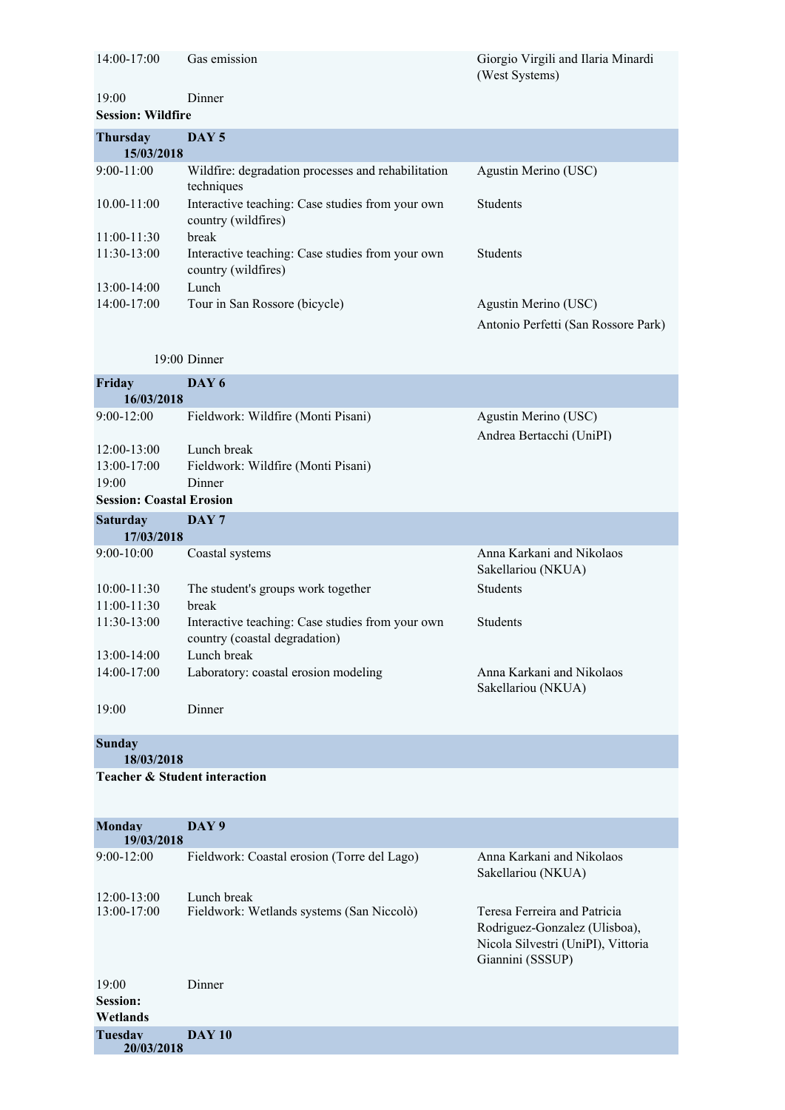| $14:00-17:00$            | Gas emission                                                            | Giorgio Virgili and Ilaria Minardi<br>(West Systems) |  |
|--------------------------|-------------------------------------------------------------------------|------------------------------------------------------|--|
| 19:00                    | Dinner                                                                  |                                                      |  |
| <b>Session: Wildfire</b> |                                                                         |                                                      |  |
| <b>Thursday</b>          | DAY 5                                                                   |                                                      |  |
| 15/03/2018               |                                                                         |                                                      |  |
| $9:00-11:00$             | Wildfire: degradation processes and rehabilitation<br>techniques        | Agustin Merino (USC)                                 |  |
| $10.00 - 11:00$          | Interactive teaching: Case studies from your own<br>country (wildfires) | <b>Students</b>                                      |  |
| $11:00-11:30$            | break                                                                   |                                                      |  |
| $11:30-13:00$            | Interactive teaching: Case studies from your own<br>country (wildfires) | <b>Students</b>                                      |  |
| 13:00-14:00              | Lunch                                                                   |                                                      |  |
| 14:00-17:00              | Tour in San Rossore (bicycle)                                           | Agustin Merino (USC)                                 |  |

Tour in San Rossore (bicycle) Agustin Merino (USC) Antonio Perfetti (San Rossore Park)

19:00 Dinner

| Friday                                                                   | DAY 6                                                                             |                                                  |
|--------------------------------------------------------------------------|-----------------------------------------------------------------------------------|--------------------------------------------------|
| 16/03/2018                                                               |                                                                                   |                                                  |
| $9:00 - 12:00$                                                           | Fieldwork: Wildfire (Monti Pisani)                                                | Agustin Merino (USC)<br>Andrea Bertacchi (UniPI) |
| $12:00-13:00$<br>13:00-17:00<br>19:00<br><b>Session: Coastal Erosion</b> | Lunch break<br>Fieldwork: Wildfire (Monti Pisani)<br>Dinner                       |                                                  |
| <b>Saturday</b>                                                          | DAY <sub>7</sub>                                                                  |                                                  |
| 17/03/2018                                                               |                                                                                   |                                                  |
| $9:00-10:00$                                                             | Coastal systems                                                                   | Anna Karkani and Nikolaos<br>Sakellariou (NKUA)  |
| $10:00 - 11:30$                                                          | The student's groups work together                                                | <b>Students</b>                                  |
| $11:00-11:30$                                                            | break                                                                             |                                                  |
| 11:30-13:00                                                              | Interactive teaching: Case studies from your own<br>country (coastal degradation) | <b>Students</b>                                  |
| $13:00-14:00$                                                            | Lunch break                                                                       |                                                  |
| 14:00-17:00                                                              | Laboratory: coastal erosion modeling                                              | Anna Karkani and Nikolaos<br>Sakellariou (NKUA)  |
| 19:00                                                                    | Dinner                                                                            |                                                  |
| <b>Sunday</b><br>18/03/2018                                              |                                                                                   |                                                  |
| <b>Teacher &amp; Student interaction</b>                                 |                                                                                   |                                                  |

|  | 19/03/2018 |
|--|------------|
|  |            |

| $9:00-12:00$                         | Fieldwork: Coastal erosion (Torre del Lago)              | Anna Karkani and Nikolaos<br>Sakellariou (NKUA)                                                                         |
|--------------------------------------|----------------------------------------------------------|-------------------------------------------------------------------------------------------------------------------------|
| $12:00-13:00$<br>$13:00-17:00$       | Lunch break<br>Fieldwork: Wetlands systems (San Niccolò) | Teresa Ferreira and Patricia<br>Rodriguez-Gonzalez (Ulisboa),<br>Nicola Silvestri (UniPI), Vittoria<br>Giannini (SSSUP) |
| 19:00<br><b>Session:</b><br>Wetlands | Dinner                                                   |                                                                                                                         |
| <b>Tuesday</b><br>20/03/2018         | <b>DAY 10</b>                                            |                                                                                                                         |